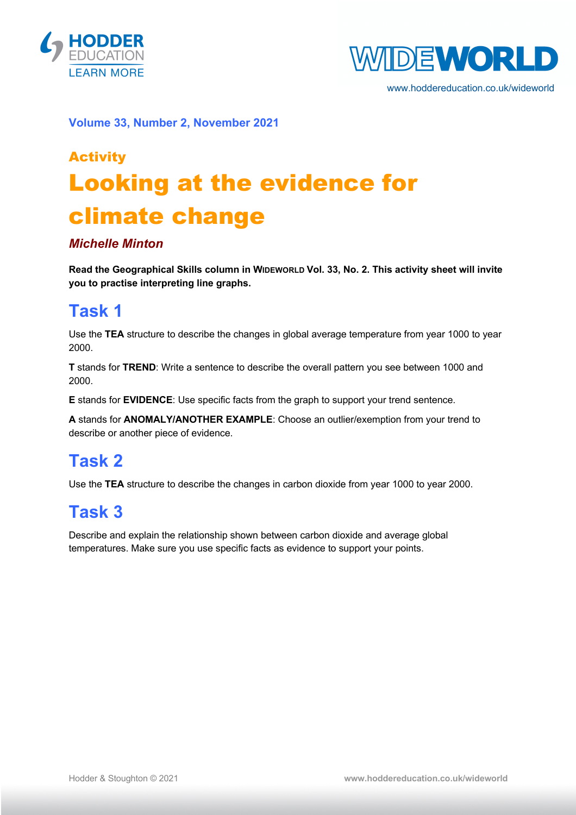



www.hoddereducation.co.uk/wideworld

**Volume 33, Number 2, November 2021**

# Activity Looking at the evidence for climate change

#### *Michelle Minton*

**Read the Geographical Skills column in WIDEWORLD Vol. 33, No. 2. This activity sheet will invite you to practise interpreting line graphs.**

### **Task 1**

Use the **TEA** structure to describe the changes in global average temperature from year 1000 to year 2000.

**T** stands for **TREND**: Write a sentence to describe the overall pattern you see between 1000 and 2000.

**E** stands for **EVIDENCE**: Use specific facts from the graph to support your trend sentence.

**A** stands for **ANOMALY/ANOTHER EXAMPLE**: Choose an outlier/exemption from your trend to describe or another piece of evidence.

#### **Task 2**

Use the **TEA** structure to describe the changes in carbon dioxide from year 1000 to year 2000.

## **Task 3**

Describe and explain the relationship shown between carbon dioxide and average global temperatures. Make sure you use specific facts as evidence to support your points.